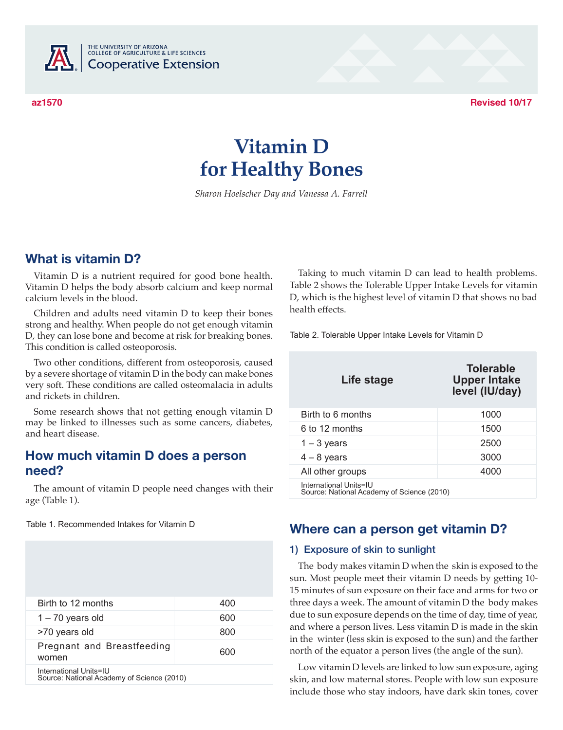

THE UNIVERSITY OF ARIZONA<br>COLLEGE OF AGRICULTURE & LIFE SCIENCES **Cooperative Extension** 

**az1570 Revised 10/17**

# **Vitamin D for Healthy Bones**

*Sharon Hoelscher Day and Vanessa A. Farrell*

## **What is vitamin D?**

Vitamin D is a nutrient required for good bone health. Vitamin D helps the body absorb calcium and keep normal calcium levels in the blood.

Children and adults need vitamin D to keep their bones strong and healthy. When people do not get enough vitamin D, they can lose bone and become at risk for breaking bones. This condition is called osteoporosis.

Two other conditions, different from osteoporosis, caused by a severe shortage of vitamin D in the body can make bones very soft. These conditions are called osteomalacia in adults and rickets in children.

Some research shows that not getting enough vitamin D may be linked to illnesses such as some cancers, diabetes, and heart disease.

## **How much vitamin D does a person need?**

The amount of vitamin D people need changes with their age (Table 1).

Table 1. Recommended Intakes for Vitamin D

| Birth to 12 months                                                   | 400 |
|----------------------------------------------------------------------|-----|
| $1 - 70$ years old                                                   | 600 |
| >70 years old                                                        | 800 |
| Pregnant and Breastfeeding<br>women                                  | 600 |
| International Units=IU<br>Source: National Academy of Science (2010) |     |

Taking to much vitamin D can lead to health problems. Table 2 shows the Tolerable Upper Intake Levels for vitamin D, which is the highest level of vitamin D that shows no bad health effects.

Table 2. Tolerable Upper Intake Levels for Vitamin D

| Life stage                                                           | <b>Tolerable</b><br><b>Upper Intake</b><br>level (IU/day) |
|----------------------------------------------------------------------|-----------------------------------------------------------|
| Birth to 6 months                                                    | 1000                                                      |
| 6 to 12 months                                                       | 1500                                                      |
| $1 - 3$ years                                                        | 2500                                                      |
| $4 - 8$ years                                                        | 3000                                                      |
| All other groups                                                     | 4000                                                      |
| International Units=IU<br>Source: National Academy of Science (2010) |                                                           |

## **Where can a person get vitamin D?**

#### 1) Exposure of skin to sunlight

The body makes vitamin D when the skin is exposed to the sun. Most people meet their vitamin D needs by getting 10- 15 minutes of sun exposure on their face and arms for two or three days a week. The amount of vitamin D the body makes due to sun exposure depends on the time of day, time of year, and where a person lives. Less vitamin D is made in the skin in the winter (less skin is exposed to the sun) and the farther north of the equator a person lives (the angle of the sun).

Low vitamin D levels are linked to low sun exposure, aging skin, and low maternal stores. People with low sun exposure include those who stay indoors, have dark skin tones, cover